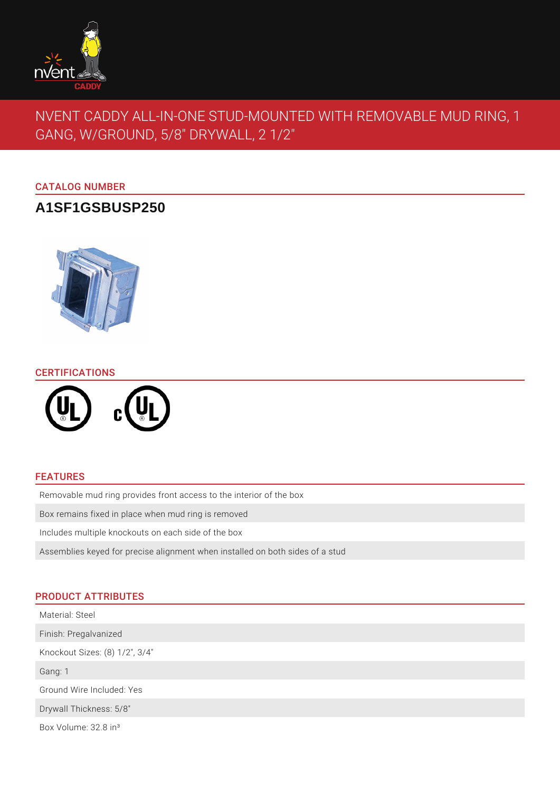

# NVENT CADDY ALL-IN-ONE STUD-MOUNTED WITH REMOVABLE MUD RING, 1 GANG, W/GROUND, 5/8" DRYWALL, 2 1/2"

## CATALOG NUMBER

## **A1SF1GSBUSP250**



## CERTIFICATIONS



## FEATURES

Removable mud ring provides front access to the interior of the box

Box remains fixed in place when mud ring is removed

Includes multiple knockouts on each side of the box

Assemblies keyed for precise alignment when installed on both sides of a stud

## PRODUCT ATTRIBUTES

| Material: Steel                  |
|----------------------------------|
| Finish: Pregalvanized            |
| Knockout Sizes: (8) 1/2", 3/4"   |
| Gang: 1                          |
| Ground Wire Included: Yes        |
| Drywall Thickness: 5/8"          |
| Box Volume: 32.8 in <sup>3</sup> |